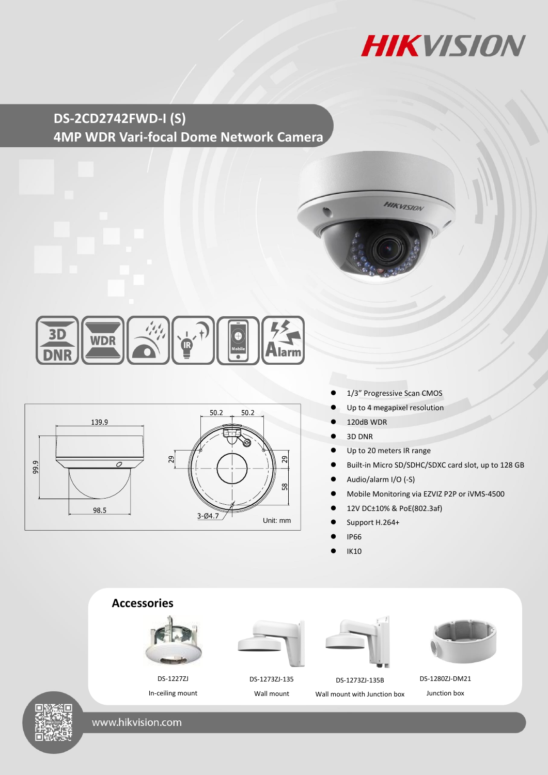

## **DS-2CD2742FWD-I (S) 4MP WDR Vari-focal Dome Network Camera**







- 1/3" Progressive Scan CMOS
- Up to 4 megapixel resolution
- 120dB WDR
- 3D DNR
- Up to 20 meters IR range
- Built-in Micro SD/SDHC/SDXC card slot, up to 128 GB
- Audio/alarm I/O (-S)
- Mobile Monitoring via EZVIZ P2P or iVMS-4500
- 12V DC±10% & PoE(802.3af)
- Support H.264+
- IP66
- IK10



www.hikvision.com